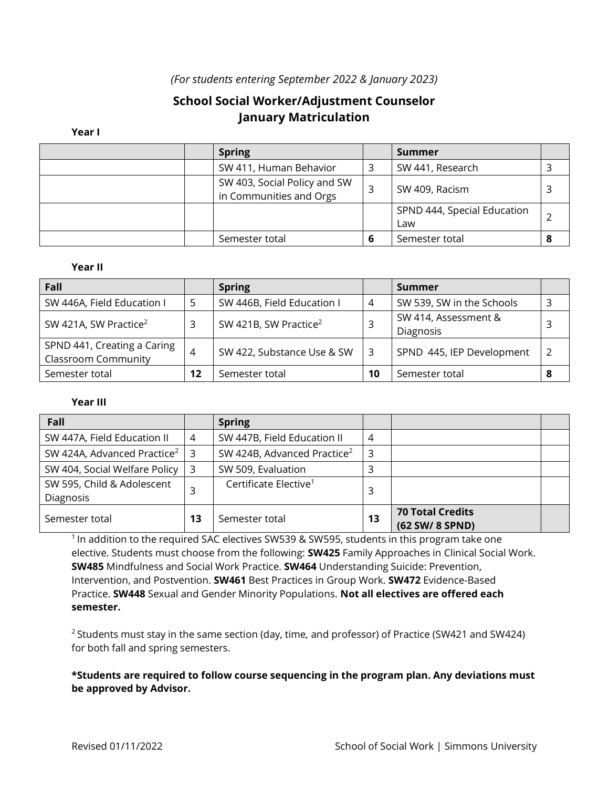## *(For students entering September 2022 & January 2023)*

# **School Social Worker/Adjustment Counselor January Matriculation**

#### **Year I**

|  | <b>Spring</b>                                           |   | <b>Summer</b>                      |  |
|--|---------------------------------------------------------|---|------------------------------------|--|
|  | SW 411, Human Behavior                                  |   | SW 441, Research                   |  |
|  | SW 403, Social Policy and SW<br>in Communities and Orgs |   | SW 409, Racism                     |  |
|  |                                                         |   | SPND 444, Special Education<br>Law |  |
|  | Semester total                                          | 6 | Semester total                     |  |

#### **Year II**

| Fall                                                      |                | <b>Spring</b>                     |    | Summer                            |   |
|-----------------------------------------------------------|----------------|-----------------------------------|----|-----------------------------------|---|
| SW 446A, Field Education I                                |                | SW 446B, Field Education I        | 4  | SW 539, SW in the Schools         | 3 |
| SW 421A, SW Practice <sup>2</sup>                         |                | SW 421B, SW Practice <sup>2</sup> |    | SW 414, Assessment &<br>Diagnosis |   |
| SPND 441, Creating a Caring<br><b>Classroom Community</b> | $\overline{4}$ | SW 422, Substance Use & SW        |    | SPND 445, IEP Development         | 2 |
| Semester total                                            | 12             | Semester total                    | 10 | Semester total                    | 8 |

#### **Year III**

| Fall                                    |    | <b>Spring</b>                           |    |                                            |  |
|-----------------------------------------|----|-----------------------------------------|----|--------------------------------------------|--|
| SW 447A, Field Education II             | 4  | SW 447B, Field Education II             | 4  |                                            |  |
| SW 424A, Advanced Practice <sup>2</sup> | -3 | SW 424B, Advanced Practice <sup>2</sup> | 3  |                                            |  |
| SW 404, Social Welfare Policy           | -3 | SW 509, Evaluation                      |    |                                            |  |
| SW 595, Child & Adolescent<br>Diagnosis | 3  | Certificate Elective <sup>1</sup>       | 3  |                                            |  |
| Semester total                          | 13 | Semester total                          | 13 | <b>70 Total Credits</b><br>(62 SW/ 8 SPND) |  |

 $1$  In addition to the required SAC electives SW539 & SW595, students in this program take one elective. Students must choose from the following: **SW425** Family Approaches in Clinical Social Work. **SW485** Mindfulness and Social Work Practice. **SW464** Understanding Suicide: Prevention, Intervention, and Postvention. **SW461** Best Practices in Group Work. **SW472** Evidence-Based Practice. **SW448** Sexual and Gender Minority Populations. **Not all electives are offered each semester.**

 $2$  Students must stay in the same section (day, time, and professor) of Practice (SW421 and SW424) for both fall and spring semesters.

### **\*Students are required to follow course sequencing in the program plan. Any deviations must be approved by Advisor.**